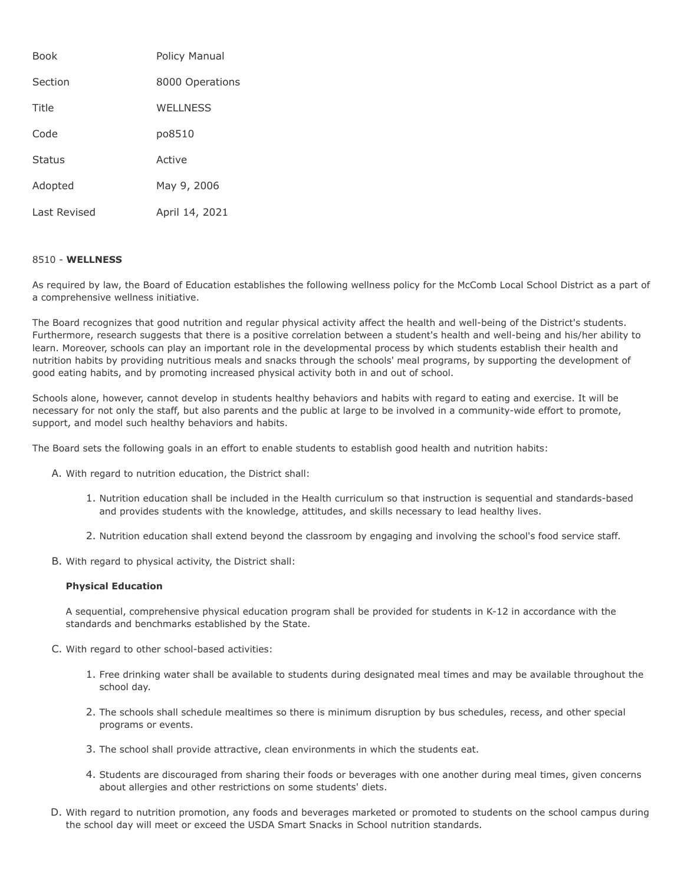| <b>Book</b>   | Policy Manual   |
|---------------|-----------------|
| Section       | 8000 Operations |
| Title         | WFI INFSS       |
| Code          | po8510          |
| <b>Status</b> | Active          |
| Adopted       | May 9, 2006     |
| Last Revised  | April 14, 2021  |

## 8510 - **WELLNESS**

As required by law, the Board of Education establishes the following wellness policy for the McComb Local School District as a part of a comprehensive wellness initiative.

The Board recognizes that good nutrition and regular physical activity affect the health and well-being of the District's students. Furthermore, research suggests that there is a positive correlation between a student's health and well-being and his/her ability to learn. Moreover, schools can play an important role in the developmental process by which students establish their health and nutrition habits by providing nutritious meals and snacks through the schools' meal programs, by supporting the development of good eating habits, and by promoting increased physical activity both in and out of school.

Schools alone, however, cannot develop in students healthy behaviors and habits with regard to eating and exercise. It will be necessary for not only the staff, but also parents and the public at large to be involved in a community-wide effort to promote, support, and model such healthy behaviors and habits.

The Board sets the following goals in an effort to enable students to establish good health and nutrition habits:

- A. With regard to nutrition education, the District shall:
	- 1. Nutrition education shall be included in the Health curriculum so that instruction is sequential and standards-based and provides students with the knowledge, attitudes, and skills necessary to lead healthy lives.
	- 2. Nutrition education shall extend beyond the classroom by engaging and involving the school's food service staff.
- B. With regard to physical activity, the District shall:

## **Physical Education**

A sequential, comprehensive physical education program shall be provided for students in K-12 in accordance with the standards and benchmarks established by the State.

- C. With regard to other school-based activities:
	- 1. Free drinking water shall be available to students during designated meal times and may be available throughout the school day.
	- 2. The schools shall schedule mealtimes so there is minimum disruption by bus schedules, recess, and other special programs or events.
	- 3. The school shall provide attractive, clean environments in which the students eat.
	- 4. Students are discouraged from sharing their foods or beverages with one another during meal times, given concerns about allergies and other restrictions on some students' diets.
- D. With regard to nutrition promotion, any foods and beverages marketed or promoted to students on the school campus during the school day will meet or exceed the USDA Smart Snacks in School nutrition standards.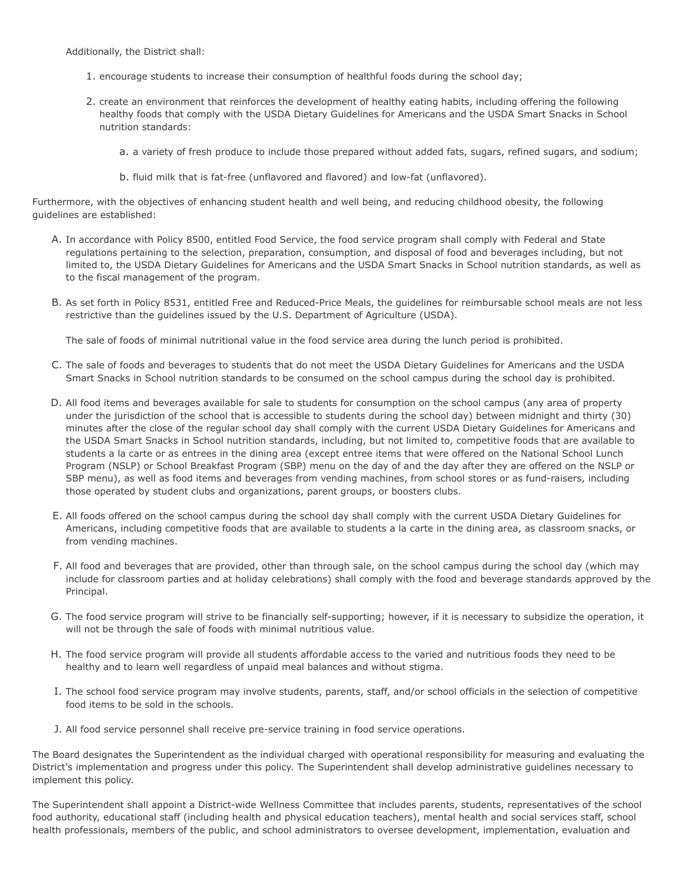Additionally, the District shall:

- 1. encourage students to increase their consumption of healthful foods during the school day;
- 2. create an environment that reinforces the development of healthy eating habits, including offering the following healthy foods that comply with the USDA Dietary Guidelines for Americans and the USDA Smart Snacks in School nutrition standards:
	- a. a variety of fresh produce to include those prepared without added fats, sugars, refined sugars, and sodium;
	- b. fluid milk that is fat-free (unflavored and flavored) and low-fat (unflavored).

Furthermore, with the objectives of enhancing student health and well being, and reducing childhood obesity, the following guidelines are established:

- A. In accordance with Policy 8500, entitled Food Service, the food service program shall comply with Federal and State regulations pertaining to the selection, preparation, consumption, and disposal of food and beverages including, but not limited to, the USDA Dietary Guidelines for Americans and the USDA Smart Snacks in School nutrition standards, as well as to the fiscal management of the program.
- B. As set forth in Policy 8531, entitled Free and Reduced-Price Meals, the guidelines for reimbursable school meals are not less restrictive than the guidelines issued by the U.S. Department of Agriculture (USDA).

The sale of foods of minimal nutritional value in the food service area during the lunch period is prohibited.

- C. The sale of foods and beverages to students that do not meet the USDA Dietary Guidelines for Americans and the USDA Smart Snacks in School nutrition standards to be consumed on the school campus during the school day is prohibited.
- D. All food items and beverages available for sale to students for consumption on the school campus (any area of property under the jurisdiction of the school that is accessible to students during the school day) between midnight and thirty (30) minutes after the close of the regular school day shall comply with the current USDA Dietary Guidelines for Americans and the USDA Smart Snacks in School nutrition standards, including, but not limited to, competitive foods that are available to students a la carte or as entrees in the dining area (except entree items that were offered on the National School Lunch Program (NSLP) or School Breakfast Program (SBP) menu on the day of and the day after they are offered on the NSLP or SBP menu), as well as food items and beverages from vending machines, from school stores or as fund-raisers, including those operated by student clubs and organizations, parent groups, or boosters clubs.
- E. All foods offered on the school campus during the school day shall comply with the current USDA Dietary Guidelines for Americans, including competitive foods that are available to students a la carte in the dining area, as classroom snacks, or from vending machines.
- F. All food and beverages that are provided, other than through sale, on the school campus during the school day (which may include for classroom parties and at holiday celebrations) shall comply with the food and beverage standards approved by the Principal.
- G. The food service program will strive to be financially self-supporting; however, if it is necessary to subsidize the operation, it will not be through the sale of foods with minimal nutritious value.
- H. The food service program will provide all students affordable access to the varied and nutritious foods they need to be healthy and to learn well regardless of unpaid meal balances and without stigma.
- I. The school food service program may involve students, parents, staff, and/or school officials in the selection of competitive food items to be sold in the schools.
- J. All food service personnel shall receive pre-service training in food service operations.

The Board designates the Superintendent as the individual charged with operational responsibility for measuring and evaluating the District's implementation and progress under this policy. The Superintendent shall develop administrative guidelines necessary to implement this policy.

The Superintendent shall appoint a District-wide Wellness Committee that includes parents, students, representatives of the school food authority, educational staff (including health and physical education teachers), mental health and social services staff, school health professionals, members of the public, and school administrators to oversee development, implementation, evaluation and